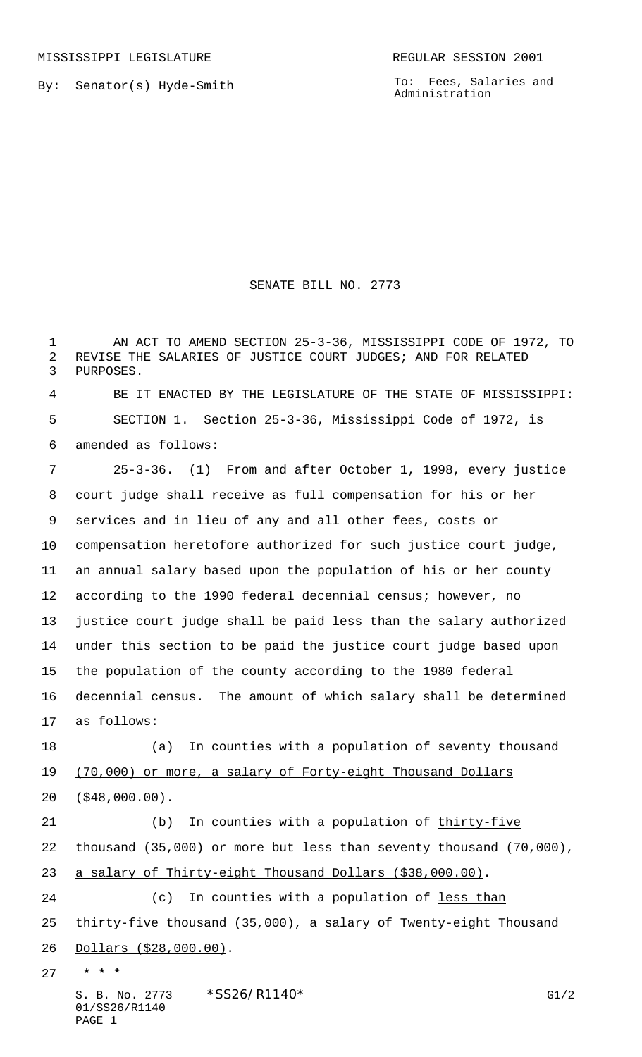By: Senator(s) Hyde-Smith

To: Fees, Salaries and Administration

## SENATE BILL NO. 2773

 AN ACT TO AMEND SECTION 25-3-36, MISSISSIPPI CODE OF 1972, TO REVISE THE SALARIES OF JUSTICE COURT JUDGES; AND FOR RELATED PURPOSES.

 BE IT ENACTED BY THE LEGISLATURE OF THE STATE OF MISSISSIPPI: SECTION 1. Section 25-3-36, Mississippi Code of 1972, is amended as follows:

 25-3-36. (1) From and after October 1, 1998, every justice court judge shall receive as full compensation for his or her services and in lieu of any and all other fees, costs or compensation heretofore authorized for such justice court judge, an annual salary based upon the population of his or her county according to the 1990 federal decennial census; however, no justice court judge shall be paid less than the salary authorized under this section to be paid the justice court judge based upon the population of the county according to the 1980 federal decennial census. The amount of which salary shall be determined as follows:

18 (a) In counties with a population of seventy thousand 19 (70,000) or more, a salary of Forty-eight Thousand Dollars (\$48,000.00).

21 (b) In counties with a population of thirty-five 22 thousand (35,000) or more but less than seventy thousand (70,000), a salary of Thirty-eight Thousand Dollars (\$38,000.00). 24 (c) In counties with a population of <u>less than</u> thirty-five thousand (35,000), a salary of Twenty-eight Thousand Dollars (\$28,000.00).  **\* \* \***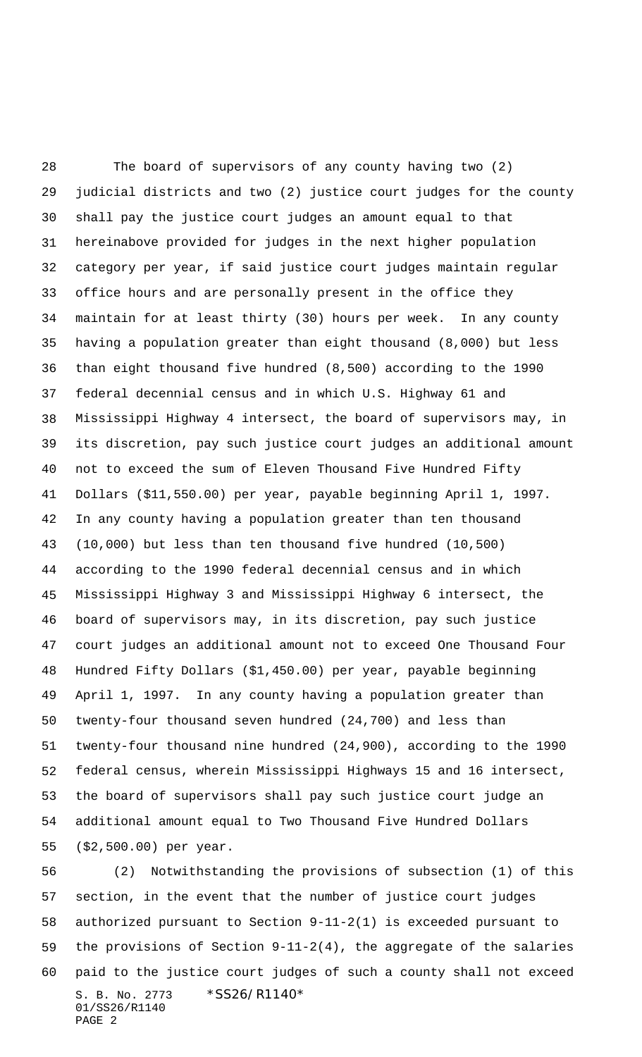The board of supervisors of any county having two (2) judicial districts and two (2) justice court judges for the county shall pay the justice court judges an amount equal to that hereinabove provided for judges in the next higher population category per year, if said justice court judges maintain regular office hours and are personally present in the office they maintain for at least thirty (30) hours per week. In any county having a population greater than eight thousand (8,000) but less than eight thousand five hundred (8,500) according to the 1990 federal decennial census and in which U.S. Highway 61 and Mississippi Highway 4 intersect, the board of supervisors may, in its discretion, pay such justice court judges an additional amount not to exceed the sum of Eleven Thousand Five Hundred Fifty Dollars (\$11,550.00) per year, payable beginning April 1, 1997. In any county having a population greater than ten thousand (10,000) but less than ten thousand five hundred (10,500) according to the 1990 federal decennial census and in which Mississippi Highway 3 and Mississippi Highway 6 intersect, the board of supervisors may, in its discretion, pay such justice court judges an additional amount not to exceed One Thousand Four Hundred Fifty Dollars (\$1,450.00) per year, payable beginning April 1, 1997. In any county having a population greater than twenty-four thousand seven hundred (24,700) and less than twenty-four thousand nine hundred (24,900), according to the 1990 federal census, wherein Mississippi Highways 15 and 16 intersect, the board of supervisors shall pay such justice court judge an additional amount equal to Two Thousand Five Hundred Dollars (\$2,500.00) per year.

S. B. No. 2773 \*SS26/R1140\* 01/SS26/R1140 PAGE 2 (2) Notwithstanding the provisions of subsection (1) of this section, in the event that the number of justice court judges authorized pursuant to Section 9-11-2(1) is exceeded pursuant to the provisions of Section 9-11-2(4), the aggregate of the salaries paid to the justice court judges of such a county shall not exceed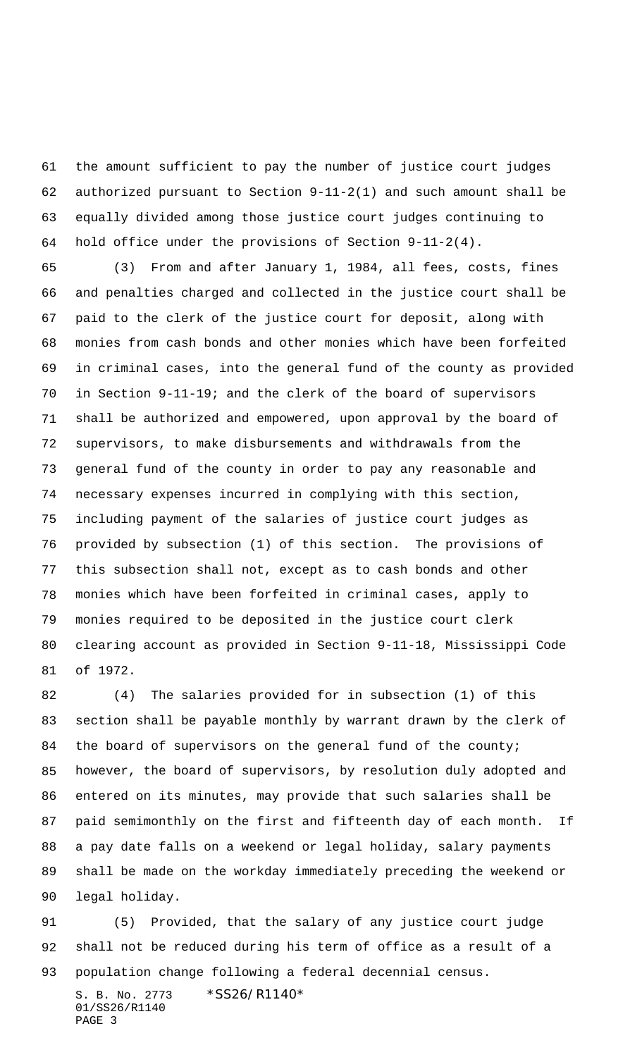the amount sufficient to pay the number of justice court judges authorized pursuant to Section 9-11-2(1) and such amount shall be equally divided among those justice court judges continuing to hold office under the provisions of Section 9-11-2(4).

 (3) From and after January 1, 1984, all fees, costs, fines and penalties charged and collected in the justice court shall be paid to the clerk of the justice court for deposit, along with monies from cash bonds and other monies which have been forfeited in criminal cases, into the general fund of the county as provided in Section 9-11-19; and the clerk of the board of supervisors shall be authorized and empowered, upon approval by the board of supervisors, to make disbursements and withdrawals from the general fund of the county in order to pay any reasonable and necessary expenses incurred in complying with this section, including payment of the salaries of justice court judges as provided by subsection (1) of this section. The provisions of this subsection shall not, except as to cash bonds and other monies which have been forfeited in criminal cases, apply to monies required to be deposited in the justice court clerk clearing account as provided in Section 9-11-18, Mississippi Code of 1972.

 (4) The salaries provided for in subsection (1) of this section shall be payable monthly by warrant drawn by the clerk of 84 the board of supervisors on the general fund of the county; however, the board of supervisors, by resolution duly adopted and entered on its minutes, may provide that such salaries shall be paid semimonthly on the first and fifteenth day of each month. If a pay date falls on a weekend or legal holiday, salary payments shall be made on the workday immediately preceding the weekend or legal holiday.

 (5) Provided, that the salary of any justice court judge shall not be reduced during his term of office as a result of a population change following a federal decennial census.

S. B. No. 2773 \* SS26/R1140\* 01/SS26/R1140 PAGE 3